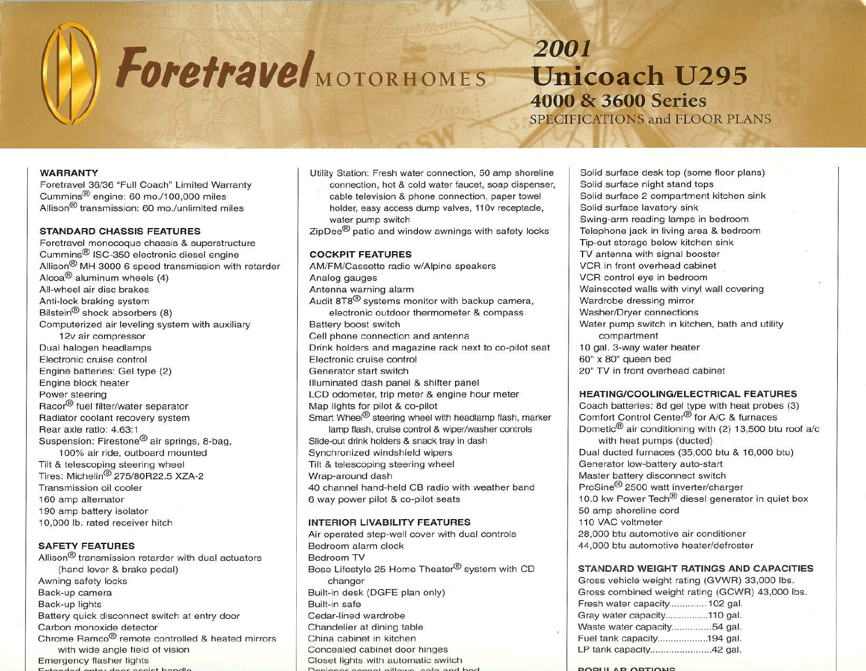# $\Lambda$  r  $For *etravel*<sub>MOTORHOM</sub>$

2001 Unicoach U295 40QO & 3600 Series

SPECIFICATIONS and FLOOR PLANS

--- -

#### WARRANTY

Foretravel 36/36 "Full Coach" Limited Warranty Cummins@ engine: 60 *mo.l100,OOO* miles Allison $<sup>®</sup>$  transmission: 60 mo./unlimited miles</sup>

#### STANDARD CHASSIS FEATURES

Foretravel monocoque chassis & superstructure Cummins@ ISC-350 electronic diesel engine Allison@ MH 3000 6 speed transmission with retarder Alcoa $^{\circledR}$  aluminum wheels (4) All-wheel air disc brakes Anti-lock braking system Bilstein<sup>®</sup> shock absorbers (8) Computerized air leveling system with auxiliary 12v air compressor Dual halogen headlamps Electronic cruise control Engine batteries: Gel type (2) Engine block heater Power steering Racor<sup>®</sup> fuel filter/water separator Radiator coolant recovery system Rear axle ratio: 4.63:1 Suspension: Firestone@ air springs, 8-bag, 100% air ride, outboard mounted Tilt & telescoping steering wheel Tires: Michelin@ 275/80R22.5 XZA-2 Transmission oil cooler 160 amp alternator 190 amp battery isolator 10,000 lb. rated receiver hitch

# SAFETY FEATURES

Allison<sup>®</sup> transmission retarder with dual actuators (hand lever & brake pedal) Awning safety locks Back-up camera Back-up lights Battery quick disconnect switch at entry door Carbon monoxide detector Chrome Ramco@ remote controlled & heated mirrors with wide angle field of vision<br>Emergency flasher lights Extended entry deer essiet bondle

Utility Station: Fresh water connection, 50 amp shoreline connection, hot & cold water faucet, soap dispenser, cable television & phone connection, paper towel holder, easy access dump valves, 110v receptacle, water pump switch

ZipDee<sup>®</sup> patio and window awnings with safety locks

# COCKPIT FEATURES

AM/FM/Cassette radio w/Alpine speakers Analog gauges Antenna warning alarm Audit 8T8@ systems monitor with backup camera, electronic outdoor thermometer & compass Battery boost switch Cell phone connection and antenna Drink holders and magazine rack next to co-pilot seat Electronic cruise control Generator start switch Illuminated dash panel & shifter panel LCD odometer, trip meter & engine hour meter Map lights for pilot & co-pilot Smart Wheel<sup>®</sup> steering wheel with headlamp flash, marker lamp flash, cruise control & wiper/washer controls Slide-out drink holders & snack tray in dash Synchronized windshield wipers Tilt & telescoping steering wheel Wrap-around dash 40 channel hand-held CB radio with weather band 6 way power pilot & co-pilot seats

#### **INTERIOR LIVABILITY FEATURES**

Air operated step-well cover with dual controls Bedroom alarm clock Bedroom TV Bose Lifestyle 25 Home Theater<sup>®</sup> system with CD changer Built-in desk (DGFE plan only) Built-in safe Cedar-lined wardrobe Chandelier at dining table China cabinet in kitchen Concealed cabinet door hinges Closet lights with automatic switch<br>Decisionar eccept pillows, sofs and bod

Solid surface desk top (some floor plans) Solid surface night stand tops Solid surface 2 compartment kitchen sink Solid surface lavatory sink Swing-arm reading lamps in bedroom Telephone jack in living area & bedroom Tip-out storage below kitchen sink TV antenna with signal booster VCR in front overhead cabinet VCR control eye in bedroom Wainscoted walls with vinyl wall covering Wardrobe dressing mirror Washer/Dryer connections Water pump switch in kitchen, bath and utility compartment 10 gal. 3-way water heater 60" x 80" queen bed 20" TV in front overhead cabinet

# HEATING/COOLING/ELECTRICAL FEATURES

Coach batteries: 8d gel type with heat probes (3) Comfort Control Center<sup>®</sup> for A/C & furnaces Dometic@ air conditioning with (2) 13,500 btu roof *ale* with heat pumps (ducted) Dual ducted furnaces (35,000 btu & 16,000 btu) Generator low-battery auto-start Master battery disconnect switch ProSine@ 2500 watt inverter/charger 10.0 kw Power Tech<sup>®</sup> diesel generator in quiet box 50 amp shoreline cord 110 VAC voltmeter 28,000 btu automotive air conditioner 44,000 btu automotive heater/defroster

## STANDARD WEIGHT RATINGS AND CAPACITIES

Gross vehicle weight rating (GVWR) 33,000 Ibs. Gross combined weight rating (GCWR) 43,000 Ibs. Fresh water capacity............. 102 gal. Gray water capacity................110 gal. Waste water capacity..............54 gal. Fuel tank capacity...................194 gal. LP tank capacity...........................42 gal.

#### DODLIL AD OPTIONS